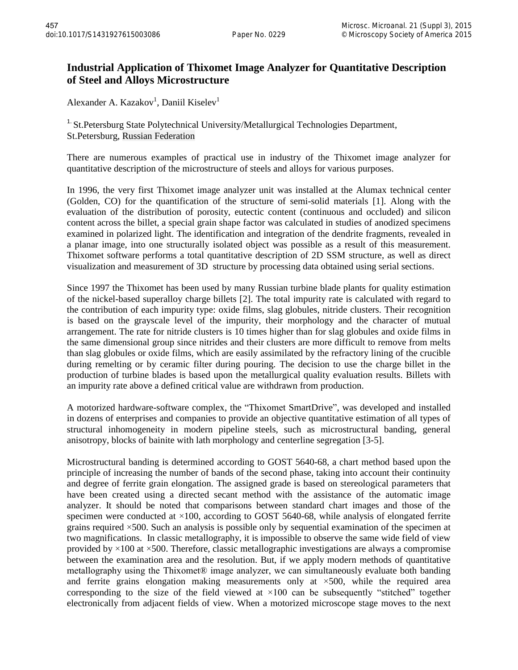## **Industrial Application of Thixomet Image Analyzer for Quantitative Description of Steel and Alloys Microstructure**

Alexander A. Kazakov<sup>1</sup>, Daniil Kiselev<sup>1</sup>

<sup>1.</sup> St.Petersburg State Polytechnical University/Metallurgical Technologies Department, St.Petersburg, Russian Federation

There are numerous examples of practical use in industry of the Thixomet image analyzer for quantitative description of the microstructure of steels and alloys for various purposes.

In 1996, the very first Thixomet image analyzer unit was installed at the Alumax technical center (Golden, CO) for the quantification of the structure of semi-solid materials [1]. Along with the evaluation of the distribution of porosity, eutectic content (continuous and occluded) and silicon content across the billet, a special grain shape factor was calculated in studies of anodized specimens examined in polarized light. The identification and integration of the dendrite fragments, revealed in a planar image, into one structurally isolated object was possible as a result of this measurement. Thixomet software performs a total quantitative description of 2D SSM structure, as well as direct visualization and measurement of 3D structure by processing data obtained using serial sections.

Since 1997 the Thixomet has been used by many Russian turbine blade plants for quality estimation of the nickel-based superalloy charge billets [2]. The total impurity rate is calculated with regard to the contribution of each impurity type: oxide films, slag globules, nitride clusters. Their recognition is based on the grayscale level of the impurity, their morphology and the character of mutual arrangement. The rate for nitride clusters is 10 times higher than for slag globules and oxide films in the same dimensional group since nitrides and their clusters are more difficult to remove from melts than slag globules or oxide films, which are easily assimilated by the refractory lining of the crucible during remelting or by ceramic filter during pouring. The decision to use the charge billet in the production of turbine blades is based upon the metallurgical quality evaluation results. Billets with an impurity rate above a defined critical value are withdrawn from production.

A motorized hardware-software complex, the "Thixomet SmartDrive", was developed and installed in dozens of enterprises and companies to provide an objective quantitative estimation of all types of structural inhomogeneity in modern pipeline steels, such as microstructural banding, general anisotropy, blocks of bainite with lath morphology and centerline segregation [3-5].

Microstructural banding is determined according to GOST 5640-68, a chart method based upon the principle of increasing the number of bands of the second phase, taking into account their continuity and degree of ferrite grain elongation. The assigned grade is based on stereological parameters that have been created using a directed secant method with the assistance of the automatic image analyzer. It should be noted that comparisons between standard chart images and those of the specimen were conducted at ×100, according to GOST 5640-68, while analysis of elongated ferrite grains required ×500. Such an analysis is possible only by sequential examination of the specimen at two magnifications. In classic metallography, it is impossible to observe the same wide field of view provided by  $\times$ 100 at  $\times$ 500. Therefore, classic metallographic investigations are always a compromise between the examination area and the resolution. But, if we apply modern methods of quantitative metallography using the Thixomet® image analyzer, we can simultaneously evaluate both banding and ferrite grains elongation making measurements only at  $\times$ 500, while the required area corresponding to the size of the field viewed at  $\times$ 100 can be subsequently "stitched" together electronically from adjacent fields of view. When a motorized microscope stage moves to the next